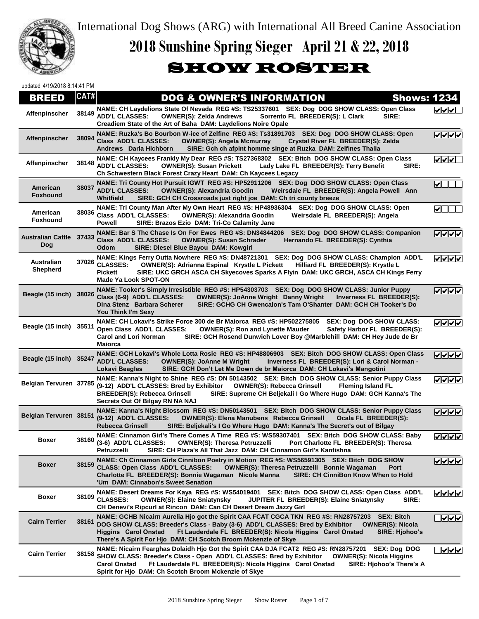

International Dog Shows (ARG) with International All Breed Canine Association

## **2018 Sunshine Spring Sieger April 21 & 22, 2018**

## SHOW ROSTER

updated 4/19/2018 8:14:41 PM

| BREED                                 | CAT#  | <b>DOG &amp; OWNER'S INFORMATION</b>                                                                                                                                                                                                                                                                                                                                                        | <b>Shows: 1234</b>                      |
|---------------------------------------|-------|---------------------------------------------------------------------------------------------------------------------------------------------------------------------------------------------------------------------------------------------------------------------------------------------------------------------------------------------------------------------------------------------|-----------------------------------------|
| Affenpinscher                         | 38149 | NAME: CH Laydelions State Of Nevada REG #S: TS25337601 SEX: Dog DOG SHOW CLASS: Open Class<br><b>ADD'L CLASSES:</b><br><b>OWNER(S): Zelda Andrews</b><br>Sorrento FL BREEDER(S): L Clark<br>SIRE:<br>Creadiem State of the Art of Baha DAM: Laydelions Noire Opale                                                                                                                          | マママ                                     |
| Affenpinscher                         | 38094 | NAME: Ruzka's Bo Bourbon W-ice of Zelfine REG #S: Ts31891703 SEX: Dog DOG SHOW CLASS: Open<br>Class ADD'L CLASSES:<br>Crystal River FL BREEDER(S): Zelda<br><b>OWNER(S): Angela Mcmurray</b><br>Andrews Darla Hichborn<br>SIRE: Gch ch afpint homme singe at Ruzka DAM: Zelfines Thalia                                                                                                     | ママママ                                    |
| Affenpinscher                         | 38148 | NAME: CH Kaycees Frankly My Dear REG #S: TS27368302 SEX: Bitch DOG SHOW CLASS: Open Class<br><b>ADD'L CLASSES:</b><br>SIRE:<br><b>OWNER(S): Susan Prickett</b><br>Lady Lake FL BREEDER(S): Terry Benefit<br>Ch Schwestern Black Forest Crazy Heart DAM: Ch Kaycees Legacy                                                                                                                   | $\sqrt{\sqrt{1-\frac{1}{2}}}$           |
| American<br><b>Foxhound</b>           | 38037 | NAME: Tri County Hot Pursuit IGWT REG #S: HP52911206 SEX: Dog DOG SHOW CLASS: Open Class<br><b>ADD'L CLASSES:</b><br><b>OWNER(S): Alexandria Goodin</b><br>Weirsdale FL BREEDER(S): Angela Powell Ann<br>Whitfield<br>SIRE: GCH CH Crossroads just right joe DAM: Ch tri county breeze                                                                                                      | $\blacktriangleright$                   |
| American<br>Foxhound                  | 38036 | NAME: Tri County Man After My Own Heart REG #S: HP48936304 SEX: Dog DOG SHOW CLASS: Open<br>Class ADD'L CLASSES:<br><b>OWNER(S): Alexandria Goodin</b><br>Weirsdale FL BREEDER(S): Angela<br><b>Powell</b><br>SIRE: Brazos Ezio DAM: Tri-Co Calamity Jane                                                                                                                                   | IV I                                    |
| <b>Australian Cattle 37433</b><br>Dog |       | NAME: Bar S The Chase Is On For Ewes REG #S: DN34844206<br>SEX: Dog DOG SHOW CLASS: Companion<br>Class ADD'L CLASSES:<br><b>OWNER(S): Susan Schrader</b><br>Hernando FL BREEDER(S): Cynthia<br>SIRE: Diesel Blue Bayou DAM: Kowgirl<br><b>Odom</b>                                                                                                                                          | シレレレ                                    |
| <b>Australian</b><br><b>Shepherd</b>  | 37026 | NAME: Kings Ferry Outta Nowhere REG #S: DN48721301 SEX: Dog DOG SHOW CLASS: Champion ADD'L<br><b>CLASSES:</b><br><b>OWNER(S): Adrianna Espinal Krystle L Pickett</b><br>Hilliard FL BREEDER(S): Krystle L<br>SIRE: UKC GRCH ASCA CH Skyecoves Sparks A Flyin DAM: UKC GRCH, ASCA CH Kings Ferry<br><b>Pickett</b><br><b>Made Ya Look SPOT-ON</b>                                            | ママママ                                    |
| Beagle (15 inch) 38026                |       | NAME: Tooker's Simply Irresistible REG #S: HP54303703 SEX: Dog DOG SHOW CLASS: Junior Puppy<br>Class (6-9) ADD'L CLASSES:<br><b>OWNER(S): JoAnne Wright Danny Wright</b><br>Inverness FL BREEDER(S):<br>SIRE: GCHG CH Gwencalon's Tam O'Shanter DAM: GCH CH Tooker's Do<br>Dina Stenz Barbara Scherer<br>You Think I'm Sexy                                                                 | ママママ                                    |
| Beagle (15 inch) 35511                |       | NAME: CH Lokavi's Strike Force 300 de Br Maiorca REG #S: HP502275805<br><b>SEX: Dog DOG SHOW CLASS:</b><br>Open Class ADD'L CLASSES:<br>Safety Harbor FL BREEDER(S):<br><b>OWNER(S): Ron and Lynette Mauder</b><br><b>Carol and Lori Norman</b><br>SIRE: GCH Rosend Dunwich Lover Boy @Marblehill DAM: CH Hey Jude de Br<br><b>Maiorca</b>                                                  | ママママ                                    |
| Beagle (15 inch) 35247                |       | NAME: GCH Lokavi's Whole Lotta Rosie REG #S: HP48806903 SEX: Bitch DOG SHOW CLASS: Open Class<br><b>ADD'L CLASSES:</b><br><b>OWNER(S): JoAnne M Wright</b><br>Inverness FL BREEDER(S): Lori & Carol Norman -<br>SIRE: GCH Don't Let Me Down de br Maiorca DAM: CH Lokavi's Mangotini<br>Lokavi Beagles                                                                                      | VVV                                     |
| Belgian Tervuren 37785                |       | NAME: Kanna's Night to Shine REG #S: DN 50143502 SEX: Bitch DOG SHOW CLASS: Senior Puppy Class<br>(9-12) ADD'L CLASSES: Bred by Exhibitor<br><b>OWNER(S): Rebecca Grinsell</b><br><b>Fleming Island FL</b><br><b>BREEDER(S): Rebecca Grinsell</b><br>SIRE: Supreme CH Beljekali I Go Where Hugo DAM: GCH Kanna's The<br>Secrets Out Of Bilgay RN NA NAJ                                     | ママママ                                    |
| Belgian Tervuren 38151                |       | NAME: Kanna's Night Blossom REG #S: DN50143501 SEX: Bitch DOG SHOW CLASS: Senior Puppy Class<br>(9-12) ADD'L CLASSES:<br><b>OWNER(S): Elena Manubens Rebecca Grinsell</b><br>Ocala FL BREEDER(S):<br>Rebecca Grinsell<br>SIRE: Beljekali's I Go Where Hugo DAM: Kanna's The Secret's out of Bilgay                                                                                          | $\sqrt{\sqrt{\sqrt{\sqrt{\mathbf{v}}}}$ |
| Boxer                                 | 38160 | NAME: Cinnamon Girl's There Comes A Time REG #S: WS59307401 SEX: Bitch DOG SHOW CLASS: Baby<br>(3-6) ADD'L CLASSES:<br><b>OWNER(S): Theresa Petruzzelli</b><br>Port Charlotte FL BREEDER(S): Theresa<br>SIRE: CH Plaza's All That Jazz DAM: CH Cinnamon Girl's Kantishna<br>Petruzzelli                                                                                                     | VVVV                                    |
| Boxer                                 | 38159 | NAME: Ch Cinnamon Girls Cinnibon Poetry in Motion REG #S: WS56591305 SEX: Bitch DOG SHOW<br><b>CLASS: Open Class ADD'L CLASSES:</b><br><b>OWNER(S): Theresa Petruzzelli Bonnie Wagaman</b><br>Port<br>Charlotte FL BREEDER(S): Bonnie Wagaman Nicole Manna<br>SIRE: CH CinniBon Know When to Hold<br>'Um DAM: Cinnabon's Sweet Senation                                                     | $V$ $V$ $V$                             |
| Boxer                                 | 38109 | NAME: Desert Dreams For Kaya REG #S: WS54019401 SEX: Bitch DOG SHOW CLASS: Open Class ADD'L<br><b>CLASSES:</b><br>SIRE:<br><b>OWNER(S): Elaine Sniatynsky</b><br>JUPITER FL BREEDER(S): Elaine Sniatynsky<br>CH Denevi's Ripcurl at Rincon DAM: Can CH Desert Dream Jazzy Girl                                                                                                              | <u>VVVV</u>                             |
| <b>Cairn Terrier</b>                  | 38161 | NAME: GCHB Nicairn Aurelia Hjo got the Spirit CAA FCAT CGCA TKN REG #S: RN28757203<br><b>SEX: Bitch</b><br>DOG SHOW CLASS: Breeder's Class - Baby (3-6) ADD'L CLASSES: Bred by Exhibitor<br><b>OWNER(S): Nicola</b><br>Ft Lauderdale FL BREEDER(S): Nicola Higgins Carol Onstad<br>Higgins Carol Onstad<br>SIRE: Hjohoo's<br>There's A Spirit For Hjo DAM: CH Scotch Broom Mckenzie of Skye | ⊽⊽⊽                                     |
| <b>Cairn Terrier</b>                  | 38158 | NAME: Nicairn Fearghas Dolaidh Hjo Got the Spirit CAA DJA FCAT2 REG #S: RN28757201<br><b>SEX: Dog DOG</b><br>SHOW CLASS: Breeder's Class - Open ADD'L CLASSES: Bred by Exhibitor<br><b>OWNER(S): Nicola Higgins</b><br>Ft Lauderdale FL BREEDER(S): Nicola Higgins Carol Onstad<br><b>Carol Onstad</b><br>SIRE: Hjohoo's There's A<br>Spirit for Hjo DAM: Ch Scotch Broom Mckenzie of Skye  | $\sqrt{\sqrt{\sqrt{\mathbf{v}}}}$       |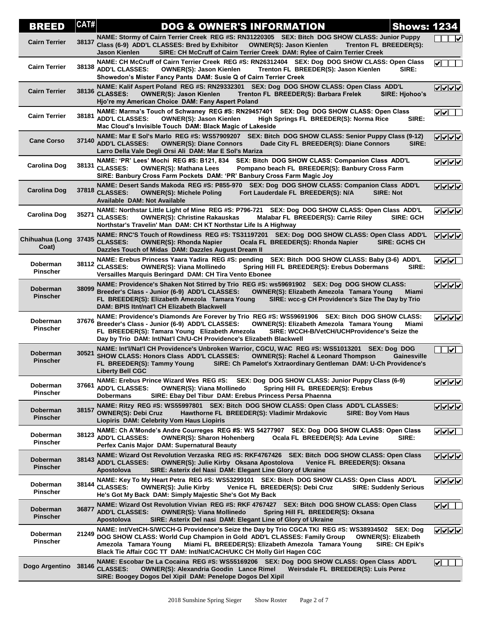| BREED                          | CAT#  | <b>Shows: 1234</b><br><b>DOG &amp; OWNER'S INFORMATION</b>                                                                                                                                                                                                                                                                                                                                 |                                  |
|--------------------------------|-------|--------------------------------------------------------------------------------------------------------------------------------------------------------------------------------------------------------------------------------------------------------------------------------------------------------------------------------------------------------------------------------------------|----------------------------------|
| <b>Cairn Terrier</b>           | 38137 | NAME: Stormy of Cairn Terrier Creek REG #S: RN31220305 SEX: Bitch DOG SHOW CLASS: Junior Puppy<br>Class (6-9) ADD'L CLASSES: Bred by Exhibitor<br><b>OWNER(S): Jason Kienlen</b><br>Trenton FL BREEDER(S):<br>SIRE: CH McCruff of Cairn Terrier Creek DAM: Rylee of Cairn Terrier Creek<br>Jason Kienlen                                                                                   | ∣✔                               |
| <b>Cairn Terrier</b>           | 38138 | NAME: CH McCruff of Cairn Terrier Creek REG #S: RN26312404 SEX: Dog DOG SHOW CLASS: Open Class<br><b>ADD'L CLASSES:</b><br><b>OWNER(S): Jason Kienlen</b><br>Trenton FL BREEDER(S): Jason Kienlen<br>SIRE:<br>Showedon's Mister Fancy Pants DAM: Susie Q of Cairn Terrier Creek                                                                                                            | $\blacktriangledown$             |
| <b>Cairn Terrier</b>           |       | NAME: Kalif Aspert Poland REG #S: RN29332301 SEX: Dog DOG SHOW CLASS: Open Class ADD'L<br>38136 CLASSES:<br><b>OWNER(S): Jason Kienlen</b><br>Trenton FL BREEDER(S): Barbara Frelek<br><b>SIRE: Hjohoo's</b><br>Hjo're my American Choice DAM: Fany Aspert Poland                                                                                                                          |                                  |
| <b>Cairn Terrier</b>           | 38181 | NAME: Marma's Touch of Schwaney REG #S: RN29457401 SEX: Dog DOG SHOW CLASS: Open Class<br><b>ADD'L CLASSES:</b><br><b>OWNER(S): Jason Kienlen</b><br>High Springs FL BREEDER(S): Norma Rice<br>SIRE:<br>Mac Cloud's Invisible Touch DAM: Black Magic of Lakeside                                                                                                                           | $ {\bf v} $ v $ $                |
| <b>Cane Corso</b>              | 37140 | NAME: Mar E Sol's Marlo REG #S: WS57909207 SEX: Bitch DOG SHOW CLASS: Senior Puppy Class (9-12)<br><b>ADD'L CLASSES:</b><br><b>OWNER(S): Diane Connors</b><br>Dade City FL BREEDER(S): Diane Connors<br>SIRE:<br>Larro Della Vale Degli Orsi Ali DAM: Mar E Sol's Mariza                                                                                                                   | ママママ                             |
| Carolina Dog                   | 38131 | NAME: 'PR' Lees' Mochi REG #S: B121, 834 SEX: Bitch DOG SHOW CLASS: Companion Class ADD'L<br><b>CLASSES:</b><br><b>OWNER(S): Mathana Lees</b><br>Pompano beach FL BREEDER(S): Banbury Cross Farm<br>SIRE: Banbury Cross Farm Pockets DAM: 'PR' Banbury Cross Farm Magic Joy                                                                                                                | ママママ                             |
| Carolina Dog                   | 37818 | NAME: Desert Sands Makoda REG #S: P855-970 SEX: Dog DOG SHOW CLASS: Companion Class ADD'L<br><b>CLASSES:</b><br>Fort Lauderdale FL BREEDER(S): N/A<br><b>SIRE: Not</b><br><b>OWNER(S): Michele Poling</b><br><b>Available DAM: Not Available</b>                                                                                                                                           | VVV                              |
| <b>Carolina Dog</b>            | 35271 | NAME: Northstar Little Light of Mine REG #S: P796-721 SEX: Dog DOG SHOW CLASS: Open Class ADD'L<br><b>CLASSES:</b><br><b>OWNER(S): Christine Rakauskas</b><br>Malabar FL BREEDER(S): Carrie Riley<br>SIRE: GCH<br>Northstar's Travelin' Man DAM: CH KT Northstar Life Is A Highway                                                                                                         | くくくく                             |
| Chihuahua (Long 37435<br>Coat) |       | NAME: RNC'S Touch of Rowdiness REG #S: TS31197201 SEX: Dog DOG SHOW CLASS: Open Class ADD'L<br><b>CLASSES:</b><br><b>OWNER(S): Rhonda Napier</b><br>Ocala FL BREEDER(S): Rhonda Napier<br><b>SIRE: GCHS CH</b><br>Dazzles Touch of Midas DAM: Dazzles August Dream II                                                                                                                      | <u>रागगर</u>                     |
| Doberman<br><b>Pinscher</b>    |       | NAME: Erebus Princess Yaara Yadira REG #S: pending SEX: Bitch DOG SHOW CLASS: Baby (3-6) ADD'L<br>38112 CLASSES:<br>SIRE:<br><b>OWNER(S): Viana Mollinedo</b><br>Spring Hill FL BREEDER(S): Erebus Dobermans<br>Versailles Marquis Beringard DAM: CH Tira Vento Ebonee                                                                                                                     | v                                |
| Doberman<br><b>Pinscher</b>    | 38099 | NAME: Providence's Shaken Not Stirred by Trio REG #S: ws59691902 SEX: Dog DOG SHOW CLASS:<br>Breeder's Class - Junior (6-9) ADD'L CLASSES:<br><b>OWNER(S): Elizabeth Amezola Tamara Young</b><br>Miami<br>FL BREEDER(S): Elizabeth Amezola Tamara Young<br>SIRE: wcc-g CH Providence's Size The Day by Trio<br>DAM: BPIS Itnt/nat'l CH Elizabeth Blackwell                                 | ママママ                             |
| Doberman<br><b>Pinscher</b>    | 37676 | NAME: Providence's Diamonds Are Forever by Trio REG #S: WS59691906 SEX: Bitch DOG SHOW CLASS:<br>Breeder's Class - Junior (6-9) ADD'L CLASSES:<br><b>OWNER(S): Elizabeth Amezola Tamara Young</b><br>Miami<br>FL BREEDER(S): Tamara Young Elizabeth Amezola<br>SIRE: WCCH-B/VetCH/UCHProvidence's Seize the<br>Day by Trio DAM: Int/Nat'l Ch/U-CH Providence's Elizabeth Blackwell         | ママママ                             |
| Doberman<br><b>Pinscher</b>    | 30521 | NAME: Int'l/Nat'l CH Providence's Unbroken Warrior, CGCU, WAC REG #S: WS51013201 SEX: Dog DOG<br>SHOW CLASS: Honors Class ADD'L CLASSES:<br><b>OWNER(S): Rachel &amp; Leonard Thompson</b><br>Gainesville<br>FL BREEDER(S): Tammy Young<br>SIRE: Ch Pamelot's Xxtraordinary Gentleman DAM: U-Ch Providence's<br><b>Liberty Bell CGC</b>                                                    | $\overline{\mathsf{v}}$          |
| Doberman<br><b>Pinscher</b>    | 37661 | NAME: Erebus Prince Wizard Wes REG #S: SEX: Dog DOG SHOW CLASS: Junior Puppy Class (6-9)<br><b>ADD'L CLASSES:</b><br><b>OWNER(S): Viana Mollinedo</b><br>Spring Hill FL BREEDER(S): Erebus<br><b>Dobermans</b><br>SIRE: Ebay Del Tibur DAM: Erebus Princess Persa Phaenna                                                                                                                  | ママママ                             |
| Doberman<br><b>Pinscher</b>    | 38157 | NAME: Ritzy REG #S: WS55997801 SEX: Bitch DOG SHOW CLASS: Open Class ADD'L CLASSES:<br><b>OWNER(S): Debi Cruz</b><br>Hawthorne FL BREEDER(S): Vladimir Mrdakovic<br><b>SIRE: Boy Vom Haus</b><br>Liopiris DAM: Celebrity Vom Haus Liopiris                                                                                                                                                 | ママママ                             |
| Doberman<br><b>Pinscher</b>    | 38123 | NAME: Ch A'Monde's Andre Courreges REG #S: WS 54277907 SEX: Dog DOG SHOW CLASS: Open Class<br><b>ADD'L CLASSES:</b><br><b>OWNER(S): Sharon Hohenberg</b><br>Ocala FL BREEDER(S): Ada Levine<br><b>SIRE:</b><br>Perfex Canis Major DAM: Supernatural Beauty                                                                                                                                 | <u>VVV</u>                       |
| Doberman<br><b>Pinscher</b>    | 38143 | NAME: Wizard Ost Revolution Verzaska REG #S: RKF4767426 SEX: Bitch DOG SHOW CLASS: Open Class<br><b>ADD'L CLASSES:</b><br><b>OWNER(S): Julie Kirby Oksana Apostolova</b><br>Venice FL BREEDER(S): Oksana<br>Apostolova<br>SIRE: Asterix del Nasi DAM: Elegant Line Glory of Ukraine                                                                                                        | ママママ                             |
| Doberman<br><b>Pinscher</b>    | 38144 | NAME: Key To My Heart Petra REG #S: WS53299101 SEX: Bitch DOG SHOW CLASS: Open Class ADD'L<br><b>CLASSES:</b><br><b>OWNER(S): Julie Kirby</b><br>Venice FL BREEDER(S): Debi Cruz<br><b>SIRE: Suddenly Serious</b><br>He's Got My Back DAM: Simply Majestic She's Got My Back                                                                                                               | ママママ                             |
| Doberman<br><b>Pinscher</b>    | 36877 | NAME: Wizard Ost Revolution Vivian REG #S: RKF 4767427 SEX: Bitch DOG SHOW CLASS: Open Class<br><b>ADD'L CLASSES:</b><br><b>OWNER(S): Viana Mollinedo</b><br>Spring Hill FL BREEDER(S): Oksana<br>SIRE: Asterix Del nasi DAM: Elegant Line of Glory of Ukraine<br>Apostolova                                                                                                               | IvI√I                            |
| Doberman<br><b>Pinscher</b>    | 21249 | NAME: Int/VetCH-S/WCCH-G Providence's Seize the Day by Trio CGCA TKI REG #S: WS38934502 SEX: Dog<br>DOG SHOW CLASS: World Cup Champion in Gold ADD'L CLASSES: Family Group<br><b>OWNER(S): Elizabeth</b><br>Amezola Tamara Young<br>Miami FL BREEDER(S): Elizabeth Amezola Tamara Young<br><b>SIRE: CH Epik's</b><br>Black Tie Affair CGC TT DAM: Int/Nat/CACH/UKC CH Molly Girl Hagen CGC | ⊽⊽⊽⊽                             |
| Dogo Argentino 38146           |       | NAME: Escobar De La Cocaina REG #S: WS55169206 SEX: Dog DOG SHOW CLASS: Open Class ADD'L<br><b>CLASSES:</b><br><b>OWNER(S): Alexandria Goodin Lance Rimel</b><br>Weirsdale FL BREEDER(S): Luis Perez<br>SIRE: Boogey Dogos Del Xipil DAM: Penelope Dogos Del Xipil                                                                                                                         | $\left  \bm{\mathsf{v}} \right $ |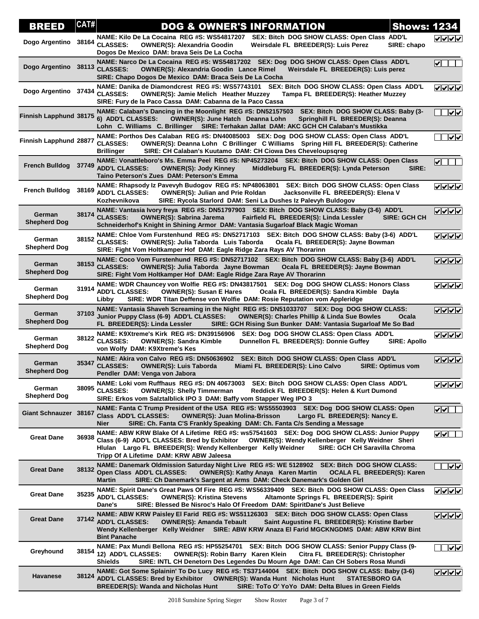| <b>BREED</b>                  | CAT#  | <b>DOG &amp; OWNER'S INFORMATION</b>                                                                                                                                                                                                                                                                                                                     | <b>Shows: 1234</b>  |                         |
|-------------------------------|-------|----------------------------------------------------------------------------------------------------------------------------------------------------------------------------------------------------------------------------------------------------------------------------------------------------------------------------------------------------------|---------------------|-------------------------|
| Dogo Argentino                | 38164 | NAME: Kilo De La Cocaina REG #S: WS54817207<br>SEX: Bitch DOG SHOW CLASS: Open Class ADD'L<br><b>CLASSES:</b><br>Weirsdale FL BREEDER(S): Luis Perez<br><b>OWNER(S): Alexandria Goodin</b><br>Dogos De Mexico DAM: brava Seis De La Cocha                                                                                                                | SIRE: chapo         | ママママ                    |
| Dogo Argentino 38113          |       | NAME: Narco De La Cocaina REG #S: WS54817202 SEX: Dog DOG SHOW CLASS: Open Class ADD'L<br><b>CLASSES:</b><br><b>OWNER(S): Alexandria Goodin Lance Rimel</b><br>Weirsdale FL BREEDER(S): Luis perez<br>SIRE: Chapo Dogos De Mexico DAM: Braca Seis De La Cocha                                                                                            |                     | ∣✔∥                     |
| Dogo Argentino 37434          |       | NAME: Danika de Diamondcrest REG #S: WS57743101 SEX: Bitch DOG SHOW CLASS: Open Class ADD'L<br><b>CLASSES:</b><br><b>OWNER(S): Jamie Melich Heather Muzzey</b><br>Tampa FL BREEDER(S): Heather Muzzey<br>SIRE: Fury de la Paco Cassa DAM: Cabanna de la Paco Cassa                                                                                       |                     | <u> जिला जा</u>         |
| Finnish Lapphund 38175        |       | NAME: Calaban's Dancing in the Moonlight REG #S: DN52157503<br>SEX: Bitch DOG SHOW CLASS: Baby (3-<br>6) ADD'L CLASSES:<br><b>OWNER(S): June Hatch Deanna Lohn</b><br>Springhill FL BREEDER(S): Deanna<br>Lohn C. Williams C. Brillinger SIRE: Terhakan Jallat DAM: AKC GCH CH Calaban's Mustikka                                                        |                     | $\sqrt{\checkmark}$     |
| Finnish Lapphund 28877        |       | NAME: Porthos Des Calaban REG #S: DN40085003 SEX: Dog DOG SHOW CLASS: Open Class ADD'L<br><b>CLASSES:</b><br>OWNER(S): Deanna Lohn C Brillinger C Williams Spring Hill FL BREEDER(S): Catherine<br>SIRE: CH Calaban's Kuutamo DAM: CH Ciowa Des Cheveloupsqreg<br><b>Brillinger</b>                                                                      |                     | $\overline{\mathsf{v}}$ |
| <b>French Bulldog</b>         | 37749 | NAME: Vonattleboro's Ms. Emma Peel REG #S: NP45273204 SEX: Bitch DOG SHOW CLASS: Open Class<br><b>ADD'L CLASSES:</b><br><b>OWNER(S): Jody Kinney</b><br>Middleburg FL BREEDER(S): Lynda Peterson<br>Taino Peterson's Zues DAM: Peterson's Emma                                                                                                           | SIRE:               | $\checkmark$ of $\Box$  |
| <b>French Bulldog</b>         | 38169 | NAME: Rhapsody Iz Pavevyh Budogov REG #S: NP48063801 SEX: Bitch DOG SHOW CLASS: Open Class<br><b>ADD'L CLASSES:</b><br><b>OWNER(S): Julian and Prie Roldan</b><br>Jacksonville FL BREEDER(S): Elena V<br>Kozhevnikova<br>SIRE: Rycola Starlord DAM: Seni La Dushes Iz Palevyh Buldogov                                                                   |                     | <b>VVVV</b>             |
| German<br><b>Shepherd Dog</b> | 38174 | NAME: Vantasia Ivory freya REG #S: DN51797903 SEX: Bitch DOG SHOW CLASS: Baby (3-6) ADD'L<br><b>CLASSES:</b><br><b>OWNER(S): Sabrina Jarema</b><br>Fairfield FL BREEDER(S): Linda Lessler<br>Schneiderhof's Knight in Shining Armor DAM: Vantasia Sugarloaf Black Magic Woman                                                                            | <b>SIRE: GCH CH</b> | <b>VVVV</b>             |
| German<br><b>Shepherd Dog</b> |       | NAME: Chloe Vom Furstenhund REG #S: DN52717103 SEX: Bitch DOG SHOW CLASS: Baby (3-6) ADD'L<br>38152 CLASSES:<br>Ocala FL BREEDER(S): Jayne Bowman<br><b>OWNER(S): Julia Taborda Luis Taborda</b><br>SIRE: Fight Vom Holtkamper Hof DAM: Eagle Ridge Zara Rays AV Thorarinn                                                                               |                     | ママママ                    |
| German<br><b>Shepherd Dog</b> |       | NAME: Coco Vom Furstenhund REG #S: DN52717102 SEX: Bitch DOG SHOW CLASS: Baby (3-6) ADD'L<br>38153 CLASSES:<br><b>OWNER(S): Julia Taborda Jayne Bowman</b><br>Ocala FL BREEDER(S): Jayne Bowman<br>SIRE: Fight Vom Holtkamper Hof DAM: Eagle Ridge Zara Raye AV Thorarinn                                                                                |                     | ⊽⊽⊽⊽                    |
| German<br><b>Shepherd Dog</b> | 31914 | NAME: WDR Chauncey von Wolfie REG #S: DN43817501 SEX: Dog DOG SHOW CLASS: Honors Class<br><b>ADD'L CLASSES:</b><br><b>OWNER(S): Susan E Hares</b><br>Ocala FL BREEDER(S): Sandra Kimble Dayla<br>SIRE: WDR Titan Deffense von Wolfie DAM: Rosie Reputation vom Appleridge<br>Libby                                                                       |                     | ママママ                    |
| German<br><b>Shepherd Dog</b> | 37103 | NAME: Vantasia Shaveh Screaming in the Night REG #S: DN51033707 SEX: Dog DOG SHOW CLASS:<br>Junior Puppy Class (6-9) ADD'L CLASSES:<br><b>OWNER(S): Charles Phillip &amp; Linda Sue Bowles</b><br>FL BREEDER(S): Linda Lessler<br>SIRE: GCH Rising Sun Bunker DAM: Vantasia Sugarloaf Me So Bad                                                          | Ocala               | ママママ                    |
| German<br><b>Shepherd Dog</b> |       | NAME: K9Xtreme's Kirk REG #S: DN39156906<br>SEX: Dog DOG SHOW CLASS: Open Class ADD'L<br>38122 CLASSES:<br><b>OWNER(S): Sandra Kimble</b><br>Dunnellon FL BREEDER(S): Donnie Guffey<br>von Wolfy DAM: K9Xtreme's Kes                                                                                                                                     | <b>SIRE: Apollo</b> | $\sqrt{100}$            |
| German<br><b>Shepherd Dog</b> | 35347 | NAME: Akira von Calvo REG #S: DN50636902<br>SEX: Bitch DOG SHOW CLASS: Open Class ADD'L<br><b>CLASSES:</b><br><b>OWNER(S): Luis Taborda</b><br>Miami FL BREEDER(S): Lino Calvo<br><b>SIRE: Optimus vom</b><br>Pendler DAM: Venga von Jabora                                                                                                              |                     | ママママ                    |
| German<br><b>Shepherd Dog</b> | 38095 | NAME: Loki vom Ruffhaus REG #S: DN 40673003<br>SEX: Bitch DOG SHOW CLASS: Open Class ADD'L<br><b>CLASSES:</b><br><b>OWNER(S): Shelly Timmerman</b><br>Reddick FL BREEDER(S): Helen & Kurt Dumond<br>SIRE: Erkos vom Salztalblick IPO 3 DAM: Baffy vom Stapper Weg IPO 3                                                                                  |                     | $V$ $V$ $V$             |
| Giant Schnauzer 38167         |       | NAME: Fanta C Trump President of the USA REG #S: WS55503903 SEX: Dog DOG SHOW CLASS: Open<br>Class ADD'L CLASSES:<br>Largo FL BREEDER(S): Nancy E.<br><b>OWNER(S): Juan Molina-Brisson</b><br>SIRE: Ch. Fanta C'S Frankly Speaking DAM: Ch. Fanta C/s Sending a Message<br>Nier                                                                          |                     | ⊻⊻∟                     |
| <b>Great Dane</b>             |       | NAME: ABW KRW Blake Of A Lifetime REG #S: ws57541603 SEX: Dog DOG SHOW CLASS: Junior Puppy<br>36938 Class (6-9) ADD'L CLASSES: Bred by Exhibitor<br><b>OWNER(S): Wendy Kellenberger Kelly Weidner Sheri</b><br>Hiulan Largo FL BREEDER(S): Wendy Kellenberger Kelly Weidner<br>SIRE: GCH CH Saravilla Chroma<br>Tripp Of A Lifetime DAM: KRW ABW Jaleesa |                     | √∥√                     |
| <b>Great Dane</b>             | 38132 | NAME: Danemark Oldmission Saturday Night Live REG #S: WE 5128902 SEX: Bitch DOG SHOW CLASS:<br>Open Class ADD'L CLASSES:<br><b>OWNER(S): Kathy Anaya Karen Martin</b><br><b>OCALA FL BREEDER(S): Karen</b><br>SIRE: Ch Danemark's Sargent at Arms DAM: Check Danemark's Golden Girl<br>Martin                                                            |                     | $\overline{\mathsf{v}}$ |
| <b>Great Dane</b>             | 35235 | NAME: Spirit Dane's Great Paws Of Fire REG #S: WS56339409 SEX: Bitch DOG SHOW CLASS: Open Class<br><b>ADD'L CLASSES:</b><br><b>OWNER(S): Kristina Stevens</b><br>Altamonte Springs FL BREEDER(S): Spirit<br>Dane's<br>SIRE: Blessed Be Nisroc's Halo Of Freedom DAM: SpiritDane's Just Believe                                                           |                     | <u>V∨∨∨</u>             |
| <b>Great Dane</b>             | 37142 | NAME: ABW KRW Paisley El Farid REG #S: WS51126303 SEX: Bitch DOG SHOW CLASS: Open Class<br><b>ADD'L CLASSES:</b><br><b>OWNER(S): Amanda Tebault</b><br>Saint Augustine FL BREEDER(S): Kristine Barber<br>Wendy Kellenberger Kelly Weidner SIRE: ABW KRW Anaza El Farid MGCKNGDMS DAM: ABW KRW Bint<br><b>Bint Panache</b>                                |                     | <b>VVVV</b>             |
| Greyhound                     |       | NAME: Pax Mundi Bellona REG #S: HP55254701 SEX: Bitch DOG SHOW CLASS: Senior Puppy Class (9-<br>38154 12) ADD'L CLASSES:<br><b>OWNER(S): Robin Barry Karen Klein</b><br>Citra FL BREEDER(S): Christopher<br><b>Shields</b><br>SIRE: INTL CH Denetorn Des Legendes Du Mourn Age DAM: Can CH Sobers Rosa Mundi                                             |                     | ⊽⊽                      |
| <b>Havanese</b>               |       | NAME: Got Some Splainin' To Do Lucy REG #S: TS37144004 SEX: Bitch DOG SHOW CLASS: Baby (3-6)<br>38124 ADD'L CLASSES: Bred by Exhibitor<br><b>OWNER(S): Wanda Hunt Nicholas Hunt</b><br><b>STATESBORO GA</b><br><b>BREEDER(S): Wanda and Nicholas Hunt</b><br>SIRE: ToTo O' YoYo DAM: Delta Blues in Green Fields                                         |                     | ママママ                    |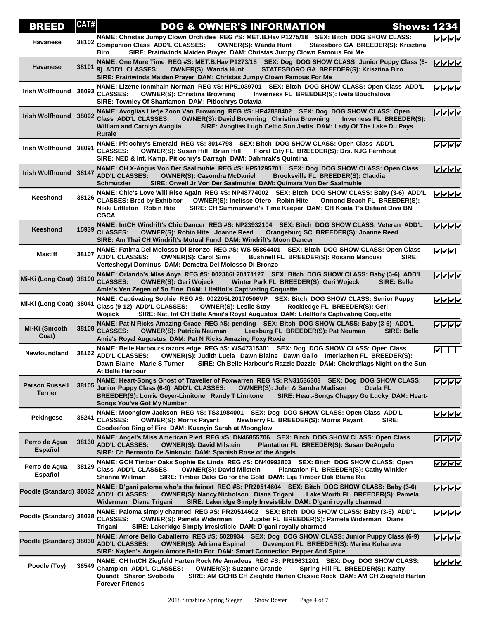| BREED                                   | CAT#  | <b>DOG &amp; OWNER'S INFORMATION</b><br><b>Shows: 1234</b>                                                                                                                                                                                                                                                                                            |                                     |
|-----------------------------------------|-------|-------------------------------------------------------------------------------------------------------------------------------------------------------------------------------------------------------------------------------------------------------------------------------------------------------------------------------------------------------|-------------------------------------|
| <b>Havanese</b>                         |       | NAME: Christas Jumpy Clown Orchidee REG #S: MET.B.Hav P1275/18 SEX: Bitch DOG SHOW CLASS:<br>38102 Companion Class ADD'L CLASSES:<br><b>OWNER(S): Wanda Hunt</b><br>Statesboro GA BREEDER(S): Krisztina<br>SIRE: Prairiwinds Maiden Prayer DAM: Christas Jumpy Clown Famous For Me<br>Biro                                                            | ママママ                                |
| <b>Havanese</b>                         | 38101 | NAME: One More Time REG #S: MET.B.Hav P1273/18 SEX: Dog DOG SHOW CLASS: Junior Puppy Class (6-<br>9) ADD'L CLASSES:<br><b>OWNER(S): Wanda Hunt</b><br>STATESBORO GA BREEDER(S): Krisztina Biro<br>SIRE: Prairiwinds Maiden Prayer DAM: Christas Jumpy Clown Famous For Me                                                                             | ママママ                                |
| Irish Wolfhound 38093                   |       | NAME: Lizette Ionmhain Norman REG #S: HP51039701 SEX: Bitch DOG SHOW CLASS: Open Class ADD'L<br><b>CLASSES:</b><br><b>OWNER(S): Christina Browning</b><br>Inverness FL BREEDER(S): Iveta Bouchalova<br>SIRE: Townley Of Shantamon DAM: Pitlochrys Octavia                                                                                             | ママママ                                |
| Irish Wolfhound 38092                   |       | NAME: Avoglias Liefje Zoon Van Browning REG #S: HP47888402 SEX: Dog DOG SHOW CLASS: Open<br><b>Class ADD'L CLASSES:</b><br>OWNER(S): David Browning Christina Browning Inverness FL BREEDER(S):<br>SIRE: Avoglias Lugh Celtic Sun Jadis DAM: Lady Of The Lake Du Pays<br><b>William and Carolyn Avoglia</b><br>Rurale                                 | ママママ                                |
| Irish Wolfhound 38091                   |       | NAME: Pitlochry's Emerald REG #S: 3014798 SEX: Bitch DOG SHOW CLASS: Open Class ADD'L<br><b>CLASSES:</b><br><b>OWNER(S): Susan Hill Brian Hill</b><br>Floral City FL BREEDER(S): Drs. NJG Fernhout<br>SIRE: NED & Int. Kamp. Pitlochry's Darragh DAM: Dahmrak's Quintina                                                                              | ママママ                                |
| Irish Wolfhound 38147                   |       | NAME: CH X-Angus Von Der Saalmuhle REG #S: HP51295701 SEX: Dog DOG SHOW CLASS: Open Class<br><b>ADD'L CLASSES:</b><br><b>OWNER(S): Casondra McDaniel</b><br>Brooksville FL BREEDER(S): Claudia<br>SIRE: Orwell Jr Von Der Saalmuhle DAM: Quimara Von Der Saalmuhle<br><b>Schmutzler</b>                                                               | ママママ                                |
| Keeshond                                | 38126 | NAME: Chic's Love Will Rise Again REG #S: NP48774002 SEX: Bitch DOG SHOW CLASS: Baby (3-6) ADD'L<br><b>CLASSES: Bred by Exhibitor</b><br><b>OWNER(S): Inelisse Otero Robin Hite</b><br>Ormond Beach FL BREEDER(S):<br>SIRE: CH Summerwind's Time Keeper DAM: CH Koala T's Defiant Diva BN<br>Nikki Littleton Robin Hite<br><b>CGCA</b>                | ママママ                                |
| Keeshond                                | 15939 | NAME: IntCH Windrift's Chic Dancer REG #S: NP23932104 SEX: Bitch DOG SHOW CLASS: Veteran ADD'L<br><b>CLASSES:</b><br><b>OWNER(S): Robin Hite Joanne Reed</b><br>Orangeburg SC BREEDER(S): Joanne Reed<br>SIRE: Am Thai CH Windrift's Mutual Fund DAM: Windrift's Moon Dancer                                                                          |                                     |
| Mastiff                                 | 38107 | NAME: Fatima Del Molosso Di Bronzo REG #S: WS 55864401 SEX: Bitch DOG SHOW CLASS: Open Class<br><b>ADD'L CLASSES:</b><br><b>OWNER(S): Carol Sims</b><br><b>Bushnell FL BREEDER(S): Rosario Mancusi</b><br>SIRE:<br>Verteshegyi Dominus DAM: Demetra Del Molosso Di Bronzo                                                                             | $\sqrt{\sqrt{}}$                    |
| Mi-Ki (Long Coat) 38100                 |       | NAME: Orlando's Miss Anya REG #S: 002386L20171127 SEX: Bitch DOG SHOW CLASS: Baby (3-6) ADD'L<br><b>CLASSES:</b><br><b>OWNER(S): Geri Wojeck</b><br>Winter Park FL BREEDER(S): Geri Wojeck<br><b>SIRE: Belle</b><br>Amie's Ven Zegen of So Fine DAM: Litelltoi's Captivating Coquette                                                                 | ママママ                                |
| Mi-Ki (Long Coat) 38041                 |       | NAME: Captivating Sophie REG #S: 002205L20170506VP SEX: Bitch DOG SHOW CLASS: Senior Puppy<br>Class (9-12) ADD'L CLASSES:<br><b>OWNER(S): Leslie Stoy</b><br>Rockledge FL BREEDER(S): Geri<br>SIRE: Nat, Int CH Belle Amie's Royal Augustus DAM: Litelltoi's Captivating Coquette<br>Wojeck                                                           | ママママ                                |
| Mi-Ki (Smooth<br>Coat)                  | 38108 | NAME: Pat N Ricks Amazing Grace REG #S: pending SEX: Bitch DOG SHOW CLASS: Baby (3-6) ADD'L<br><b>CLASSES:</b><br>Leesburg FL BREEDER(S): Pat Neuman<br><b>OWNER(S): Patricia Neuman</b><br><b>SIRE: Belle</b><br>Amie's Royal Augustus DAM: Pat N Ricks Amazing Foxy Roxie                                                                           | ママママ                                |
| <b>Newfoundland</b>                     | 38162 | NAME: Belle Harbours razors edge REG #S: WS47315301 SEX: Dog DOG SHOW CLASS: Open Class<br><b>ADD'L CLASSES:</b><br>OWNER(S): Judith Lucia Dawn Blaine Dawn Gallo Interlachen FL BREEDER(S):<br>Dawn Blaine Marie S Turner<br>SIRE: Ch Belle Harbour's Razzle Dazzle DAM: Chekrdflags Night on the Sun<br>At Belle Harbour                            | $\blacktriangledown$ $\blacksquare$ |
| <b>Parson Russell</b><br><b>Terrier</b> | 38105 | NAME: Heart-Songs Ghost of Traveller of Foxwarren REG #S: RN31536303 SEX: Dog DOG SHOW CLASS:<br>Junior Puppy Class (6-9) ADD'L CLASSES:<br><b>OWNER(S): John &amp; Sandra Madison</b><br>Ocala FL<br><b>BREEDER(S): Lorrie Geyer-Limitone Randy T Limitone</b><br>SIRE: Heart-Songs Chappy Go Lucky DAM: Heart-<br><b>Songs You've Got My Number</b> | ママママ                                |
| <b>Pekingese</b>                        | 35241 | NAME: Moonglow Jackson REG #S: TS31984001 SEX: Dog DOG SHOW CLASS: Open Class ADD'L<br><b>CLASSES:</b><br><b>OWNER(S): Morris Payant</b><br>Newberry FL BREEDER(S): Morris Payant<br>SIRE:<br>Coodeefoo Ring of Fire DAM: Kuanyin Sarah at Moonglow                                                                                                   | $\sqrt{10}$                         |
| Perro de Agua<br>Español                | 38130 | NAME: Angel's Miss American Pied REG #S: DN46855706 SEX: Bitch DOG SHOW CLASS: Open Class<br><b>ADD'L CLASSES:</b><br><b>OWNER(S): David Milstein</b><br><b>Plantation FL BREEDER(S): Susan DeAngelo</b><br>SIRE: Ch Bernardo De Sinkovic DAM: Spanish Rose of the Angels                                                                             | ママママ                                |
| Perro de Agua<br>Español                | 38129 | NAME: GCH Timber Oaks Sophie Es Linda REG #S: DN40993803 SEX: Bitch DOG SHOW CLASS: Open<br>Class ADD'L CLASSES:<br>Plantation FL BREEDER(S): Cathy Winkler<br><b>OWNER(S): David Milstein</b><br>SIRE: Timber Oaks Go for the Gold DAM: Lija Timber Oak Blame Ria<br>Shanna Willman                                                                  | ママママ                                |
| Poodle (Standard) 38032                 |       | NAME: D'gani paloma who's the fairest REG #S: PR20514604 SEX: Bitch DOG SHOW CLASS: Baby (3-6)<br><b>ADD'L CLASSES:</b><br><b>OWNER(S): Nancy Nicholson Diana Trigani</b><br>Lake Worth FL BREEDER(S): Pamela<br>Widerman Diana Trigani<br>SIRE: Lakeridge Simply Irresistible DAM: D'gani royally charmed                                            | ママママ                                |
| Poodle (Standard) 38038                 |       | NAME: Paloma simply charmed REG #S: PR20514602 SEX: Bitch DOG SHOW CLASS: Baby (3-6) ADD'L<br><b>CLASSES:</b><br><b>OWNER(S): Pamela Widerman</b><br>Jupiter FL BREEDER(S): Pamela Widerman Diane<br>Trigani<br>SIRE: Lakeridge Simply irresistible DAM: D'gani royally charmed                                                                       | ママママ                                |
| Poodle (Standard) 38030                 |       | NAME: Amore Bello Caballerro REG #S: 5028934 SEX: Dog DOG SHOW CLASS: Junior Puppy Class (6-9)<br><b>ADD'L CLASSES:</b><br><b>OWNER(S): Adriana Espinal</b><br>Davenport FL BREEDER(S): Marina Kuhareva<br>SIRE: Kaylen's Angelo Amore Bello For DAM: Smart Connection Pepper And Spice                                                               | <b>VVVV</b>                         |
| Poodle (Toy)                            | 36549 | NAME: CH IntCH Ziegfeld Harten Rock Me Amadeus REG #S: PR19631201 SEX: Dog DOG SHOW CLASS:<br>Champion ADD'L CLASSES:<br><b>OWNER(S): Suzanne Grande</b><br>Spring Hill FL BREEDER(S): Kathy<br>Quandt Sharon Svoboda<br>SIRE: AM GCHB CH Ziegfeld Harten Classic Rock DAM: AM CH Ziegfeld Harten<br><b>Forever Friends</b>                           | ママママ                                |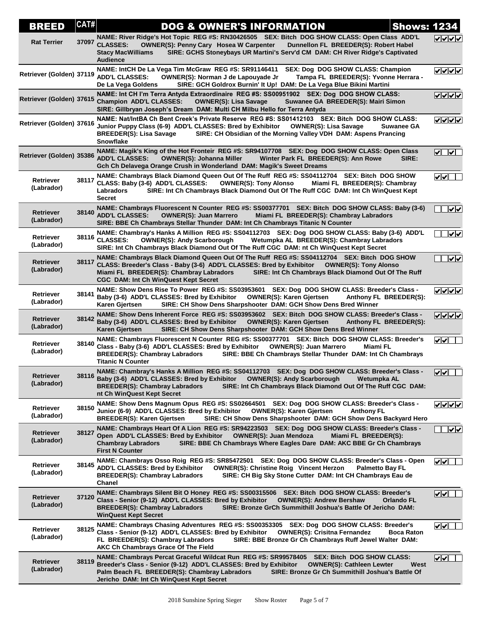| BREED                          | CAT#  | <b>DOG &amp; OWNER'S INFORMATION</b>                                                                                                                                                                                                                                                                                                                  | <b>Shows: 1234</b>                                                 |
|--------------------------------|-------|-------------------------------------------------------------------------------------------------------------------------------------------------------------------------------------------------------------------------------------------------------------------------------------------------------------------------------------------------------|--------------------------------------------------------------------|
| <b>Rat Terrier</b>             | 37097 | NAME: River Ridge's Hot Topic REG #S: RN30426505 SEX: Bitch DOG SHOW CLASS: Open Class ADD'L<br><b>CLASSES:</b><br><b>OWNER(S): Penny Cary Hosea W Carpenter</b><br>Dunnellon FL BREEDER(S): Robert Habel<br>SIRE: GCHS Stoneybays UR Martini's Serv'd CM DAM: CH River Ridge's Captivated<br><b>Stacy MacWilliams</b><br><b>Audience</b>             | ママママ                                                               |
| Retriever (Golden) 37119       |       | NAME: IntCH De La Vega Tim McGraw REG #S: SR91146411<br><b>SEX: Dog DOG SHOW CLASS: Champion</b><br><b>ADD'L CLASSES:</b><br>OWNER(S): Norman J de Lapouyade Jr<br>Tampa FL BREEDER(S): Yvonne Herrara -<br>De La Vega Goldens<br>SIRE: GCH Goldrox Burnin' It Up! DAM: De La Vega Blue Bikini Martini                                                | ママママ                                                               |
| Retriever (Golden) 37615       |       | NAME: Int CH I'm Terra Antyda Extraordinaire REG #S: SS00951902 SEX: Dog DOG SHOW CLASS:<br><b>Champion ADD'L CLASSES:</b><br><b>OWNER(S): Lisa Savage</b><br>Suwanee GA BREEDER(S): Mairi Simon<br>SIRE: Gillbryan Joseph's Dream DAM: Multi CH Milbu Hello for Terra Antyda                                                                         | ママママ                                                               |
| Retriever (Golden) 37616       |       | NAME: Nat/IntBA Ch Bent Creek's Private Reserve REG #S: SS01412103 SEX: Bitch DOG SHOW CLASS:<br>Junior Puppy Class (6-9) ADD'L CLASSES: Bred by Exhibitor<br><b>OWNER(S): Lisa Savage</b><br>Suwanee GA<br>SIRE: CH Obsidian of the Morning Valley VDH DAM: Aspens Prancing<br><b>BREEDER(S): Lisa Savage</b><br><b>Snowflake</b>                    | ママママ                                                               |
| Retriever (Golden) 35386       |       | NAME: Magik's King of the Hot Fronteir REG #S: SR94107708 SEX: Dog DOG SHOW CLASS: Open Class<br><b>ADD'L CLASSES:</b><br><b>OWNER(S): Johanna Miller</b><br>Winter Park FL BREEDER(S): Ann Rowe<br>SIRE:<br>Gch Ch Delavega Orange Crush in Wonderland DAM: Magik's Sweet Dreams                                                                     | $\triangledown$ $\triangledown$                                    |
| <b>Retriever</b><br>(Labrador) | 38117 | NAME: Chambrays Black Diamond Queen Out Of The Ruff REG #S: SS04112704 SEX: Bitch DOG SHOW<br>CLASS: Baby (3-6) ADD'L CLASSES:<br><b>OWNER(S): Tony Alonso</b><br>Miami FL BREEDER(S): Chambray<br>SIRE: Int Ch Chambrays Black Diamond Out Of The Ruff CGC DAM: Int Ch WinQuest Kept<br>Labradors<br><b>Secret</b>                                   | է∤∀                                                                |
| <b>Retriever</b><br>(Labrador) | 38140 | NAME: Chambrays Fluorescent N Counter REG #S: SS00377701 SEX: Bitch DOG SHOW CLASS: Baby (3-6)<br><b>ADD'L CLASSES:</b><br><b>OWNER(S): Juan Marrero</b><br>Miami FL BREEDER(S): Chambray Labradors<br>SIRE: BBE Ch Chambrays Stellar Thunder DAM: Int Ch Chambrays Titanic N Counter                                                                 | $\overline{\mathsf{v}}$ ।                                          |
| Retriever<br>(Labrador)        | 38116 | NAME: Chambray's Hanks A Million REG #S: SS04112703 SEX: Dog DOG SHOW CLASS: Baby (3-6) ADD'L<br><b>CLASSES:</b><br><b>OWNER(S): Andy Scarborough</b><br>Wetumpka AL BREEDER(S): Chambray Labradors<br>SIRE: Int Ch Chambrays Black Diamond Out Of The Ruff CGC DAM: nt Ch WinQuest Kept Secret                                                       | ।⊽।⊽                                                               |
| <b>Retriever</b><br>(Labrador) | 38117 | NAME: Chambrays Black Diamond Queen Out Of The Ruff REG #S: SS04112704 SEX: Bitch DOG SHOW<br>CLASS: Breeder's Class - Baby (3-6) ADD'L CLASSES: Bred by Exhibitor<br><b>OWNER(S): Tony Alonso</b><br>SIRE: Int Ch Chambrays Black Diamond Out Of The Ruff<br>Miami FL BREEDER(S): Chambray Labradors<br><b>CGC DAM: Int Ch WinQuest Kept Secret</b>  | $\overline{ \mathbf{v}  \mathbf{v}}$                               |
| Retriever<br>(Labrador)        | 38141 | NAME: Show Dens Rise To Power REG #S: SS03953601 SEX: Dog DOG SHOW CLASS: Breeder's Class -<br>Baby (3-6) ADD'L CLASSES: Bred by Exhibitor<br><b>OWNER(S): Karen Gjertsen</b><br>Anthony FL BREEDER(S):<br>SIRE: CH Show Dens Sharpshooter DAM: GCH Show Dens Bred Winner<br>Karen Gjertsen                                                           | ママママ                                                               |
| <b>Retriever</b><br>(Labrador) | 38142 | NAME: Show Dens Inherent Force REG #S: SS03953602 SEX: Bitch DOG SHOW CLASS: Breeder's Class -<br>Baby (3-6) ADD'L CLASSES: Bred by Exhibitor OWNER(S): Karen Gjertsen<br>Anthony FL BREEDER(S):<br>SIRE: CH Show Dens Sharpshooter DAM: GCH Show Dens Bred Winner<br>Karen Gjertsen                                                                  | ママママ                                                               |
| Retriever<br>(Labrador)        | 38140 | NAME: Chambrays Fluorescent N Counter REG #S: SS00377701 SEX: Bitch DOG SHOW CLASS: Breeder's<br>Class - Baby (3-6) ADD'L CLASSES: Bred by Exhibitor<br><b>OWNER(S): Juan Marrero</b><br>Miami FL<br><b>BREEDER(S): Chambray Labradors</b><br>SIRE: BBE Ch Chambrays Stellar Thunder DAM: Int Ch Chambrays<br><b>Titanic N Counter</b>                | ⊻⊻L                                                                |
| Retriever<br>(Labrador)        | 38116 | NAME: Chambray's Hanks A Million REG #S: SS04112703 SEX: Dog DOG SHOW CLASS: Breeder's Class -<br>Baby (3-6) ADD'L CLASSES: Bred by Exhibitor<br><b>OWNER(S): Andy Scarborough</b><br>Wetumpka AL<br><b>BREEDER(S): Chambray Labradors</b><br>SIRE: Int Ch Chambrays Black Diamond Out Of The Ruff CGC DAM:<br>nt Ch WinQuest Kept Secret             | ⊻⊻∟                                                                |
| Retriever<br>(Labrador)        | 38150 | NAME: Show Dens Magnum Opus REG #S: SS02664501 SEX: Dog DOG SHOW CLASS: Breeder's Class -<br>Junior (6-9) ADD'L CLASSES: Bred by Exhibitor<br><b>OWNER(S): Karen Gjertsen</b><br><b>Anthony FL</b><br><b>BREEDER(S): Karen Gjertsen</b><br>SIRE: CH Show Dens Sharpshooter DAM: GCH Show Dens Backyard Hero                                           | ママママ                                                               |
| Retriever<br>(Labrador)        | 38127 | NAME: Chambrays Heart Of A Lion REG #S: SR94223503 SEX: Dog DOG SHOW CLASS: Breeder's Class -<br>Open ADD'L CLASSES: Bred by Exhibitor<br><b>OWNER(S): Juan Mendoza</b><br>Miami FL BREEDER(S):<br><b>Chambray Labradors</b><br>SIRE: BBE Ch Chambrays Where Eagles Dare DAM: AKC BBE Gr Ch Chambrays<br><b>First N Counter</b>                       | $\sqrt{\sqrt{}}$                                                   |
| Retriever<br>(Labrador)        | 38145 | NAME: Chambrays Osso Roig REG #S: SR85472501 SEX: Dog DOG SHOW CLASS: Breeder's Class - Open<br>ADD'L CLASSES: Bred by Exhibitor<br><b>OWNER(S): Christine Roig Vincent Herzon</b><br><b>Palmetto Bay FL</b><br><b>BREEDER(S): Chambray Labradors</b><br>SIRE: CH Big Sky Stone Cutter DAM: Int CH Chambrays Eau de<br>Chanel                         | $ {\bf v} $ v $ $                                                  |
| Retriever<br>(Labrador)        | 37120 | NAME: Chambrays Silent Bit O Honey REG #S: SS00315506 SEX: Bitch DOG SHOW CLASS: Breeder's<br>Class - Senior (9-12) ADD'L CLASSES: Bred by Exhibitor<br><b>OWNER(S): Andrew Bershaw</b><br><b>Orlando FL</b><br>SIRE: Bronze GrCh Summithill Joshua's Battle Of Jericho DAM:<br><b>BREEDER(S): Chambray Labradors</b><br><b>WinQuest Kept Secret</b>  | ⊻⊻⊥                                                                |
| Retriever<br>(Labrador)        | 38125 | NAME: Chambrays Chasing Adventures REG #S: SS00353305 SEX: Dog DOG SHOW CLASS: Breeder's<br>Class - Senior (9-12) ADD'L CLASSES: Bred by Exhibitor<br><b>OWNER(S): Crisitna Fernandez</b><br><b>Boca Raton</b><br>FL BREEDER(S): Chambray Labradors<br>SIRE: BBE Bronze Gr Ch Chambrays Ruff Jewel Walter DAM:<br>AKC Ch Chambrays Grace Of The Field | $ {\bf v} $ v $ $                                                  |
| Retriever<br>(Labrador)        | 38119 | NAME: Chambrays Percat Graceful Wildcat Run REG #S: SR99578405 SEX: Bitch DOG SHOW CLASS:<br>Breeder's Class - Senior (9-12) ADD'L CLASSES: Bred by Exhibitor<br><b>OWNER(S): Cathleen Lewter</b><br>Palm Beach FL BREEDER(S): Chambray Labradors<br>SIRE: Bronze Gr Ch Summithill Joshua's Battle Of<br>Jericho DAM: Int Ch WinQuest Kept Secret     | $\boldsymbol{\mathsf{v}}$ $\boldsymbol{\mathsf{v}}$ $\Box$<br>West |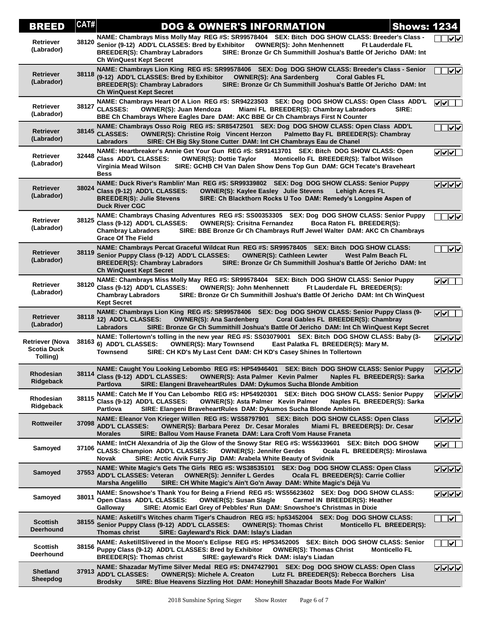| <b>BREED</b>                                             | CAT#  | <b>Shows: 1234</b><br><b>DOG &amp; OWNER'S INFORMATION</b>                                                                                                                                                                                                                                                                                                      |                                        |
|----------------------------------------------------------|-------|-----------------------------------------------------------------------------------------------------------------------------------------------------------------------------------------------------------------------------------------------------------------------------------------------------------------------------------------------------------------|----------------------------------------|
| Retriever<br>(Labrador)                                  | 38120 | NAME: Chambrays Miss Molly May REG #S: SR99578404 SEX: Bitch DOG SHOW CLASS: Breeder's Class -<br>Senior (9-12) ADD'L CLASSES: Bred by Exhibitor<br><b>OWNER(S): John Menhennett</b><br><b>Ft Lauderdale FL</b><br><b>BREEDER(S): Chambray Labradors</b><br>SIRE: Bronze Gr Ch Summithill Joshua's Battle Of Jericho DAM: Int<br><b>Ch WinQuest Kept Secret</b> | ∣√∥√                                   |
| Retriever<br>(Labrador)                                  | 38118 | NAME: Chambrays Lion King REG #S: SR99578406 SEX: Dog DOG SHOW CLASS: Breeder's Class - Senior<br>(9-12) ADD'L CLASSES: Bred by Exhibitor<br><b>OWNER(S): Ana Sardenberg</b><br><b>Coral Gables FL</b><br>SIRE: Bronze Gr Ch Summithill Joshua's Battle Of Jericho DAM: Int<br><b>BREEDER(S): Chambray Labradors</b><br><b>Ch WinQuest Kept Secret</b>          | $\overline{\mathsf{v}}$                |
| <b>Retriever</b><br>(Labrador)                           |       | NAME: Chambrays Heart Of A Lion REG #S: SR94223503 SEX: Dog DOG SHOW CLASS: Open Class ADD'L<br>38127 CLASSES:<br><b>OWNER(S): Juan Mendoza</b><br>Miami FL BREEDER(S): Chambray Labradors<br>SIRE:<br>BBE Ch Chambrays Where Eagles Dare DAM: AKC BBE Gr Ch Chambrays First N Counter                                                                          | v                                      |
| Retriever<br>(Labrador)                                  | 38145 | NAME: Chambrays Osso Roig REG #S: SR85472501 SEX: Dog DOG SHOW CLASS: Open Class ADD'L<br><b>CLASSES:</b><br><b>OWNER(S): Christine Roig Vincent Herzon</b><br>Palmetto Bay FL BREEDER(S): Chambray<br>SIRE: CH Big Sky Stone Cutter DAM: Int CH Chambrays Eau de Chanel<br>Labradors                                                                           | ⊽⊽                                     |
| Retriever<br>(Labrador)                                  | 32448 | NAME: Heartbreaker's Annie Get Your Gun REG #S: SR91413701 SEX: Bitch DOG SHOW CLASS: Open<br>Class ADD'L CLASSES:<br><b>OWNER(S): Dottie Taylor</b><br>Monticello FL BREEDER(S): Talbot Wilson<br>SIRE: GCHB CH Van Dalen Show Dens Top Gun DAM: GCH Tecate's Braveheart<br>Virginia Mead Wilson<br><b>Bess</b>                                                | $ v $ v $ v $                          |
| <b>Retriever</b><br>(Labrador)                           |       | NAME: Duck River's Ramblin' Man REG #S: SR99339802 SEX: Dog DOG SHOW CLASS: Senior Puppy<br>38024 Class (9-12) ADD'L CLASSES:<br><b>OWNER(S): Kaylee Easley Julie Stevens</b><br><b>Lehigh Acres FL</b><br>SIRE: Ch Blackthorn Rocks U Too DAM: Remedy's Longpine Aspen of<br><b>BREEDER(S): Julie Stevens</b><br><b>Duck River CGC</b>                         |                                        |
| <b>Retriever</b><br>(Labrador)                           | 38125 | NAME: Chambrays Chasing Adventures REG #S: SS00353305 SEX: Dog DOG SHOW CLASS: Senior Puppy<br>Class (9-12) ADD'L CLASSES:<br><b>OWNER(S): Crisitna Fernandez</b><br>Boca Raton FL BREEDER(S):<br><b>Chambray Labradors</b><br>SIRE: BBE Bronze Gr Ch Chambrays Ruff Jewel Walter DAM: AKC Ch Chambrays<br><b>Grace Of The Field</b>                            | $\overline{\mathsf{v}}$                |
| Retriever<br>(Labrador)                                  | 38119 | NAME: Chambrays Percat Graceful Wildcat Run REG #S: SR99578405 SEX: Bitch DOG SHOW CLASS:<br>Senior Puppy Class (9-12) ADD'L CLASSES:<br><b>OWNER(S): Cathleen Lewter</b><br>West Palm Beach FL<br><b>BREEDER(S): Chambray Labradors</b><br>SIRE: Bronze Gr Ch Summithill Joshua's Battle Of Jericho DAM: Int<br><b>Ch WinQuest Kept Secret</b>                 | $\overline{ \mathcal{v}  \mathcal{v}}$ |
| <b>Retriever</b><br>(Labrador)                           | 38120 | NAME: Chambrays Miss Molly May REG #S: SR99578404 SEX: Bitch DOG SHOW CLASS: Senior Puppy<br>Class (9-12) ADD'L CLASSES:<br><b>OWNER(S): John Menhennett</b><br>Ft Lauderdale FL BREEDER(S):<br>SIRE: Bronze Gr Ch Summithill Joshua's Battle Of Jericho DAM: Int Ch WinQuest<br><b>Chambray Labradors</b><br><b>Kept Secret</b>                                | ⊽⊽[                                    |
| Retriever<br>(Labrador)                                  | 38118 | NAME: Chambrays Lion King REG #S: SR99578406 SEX: Dog DOG SHOW CLASS: Senior Puppy Class (9-<br>12) ADD'L CLASSES:<br><b>OWNER(S): Ana Sardenberg</b><br>Coral Gables FL BREEDER(S): Chambray<br>SIRE: Bronze Gr Ch Summithill Joshua's Battle Of Jericho DAM: Int Ch WinQuest Kept Secret<br><b>Labradors</b>                                                  | $\sqrt{\sqrt{1-\frac{1}{2}}}$          |
| <b>Retriever (Nova</b><br><b>Scotia Duck</b><br>Tolling) | 38163 | NAME: Tollertown's tolling in the new year REG #S: SS03079001 SEX: Bitch DOG SHOW CLASS: Baby (3-<br>6) ADD'L CLASSES:<br><b>OWNER(S): Mary Townsend</b><br>East Palatka FL BREEDER(S): Mary M.<br>SIRE: CH KD's My Last Cent DAM: CH KD's Casey Shines In Tollertown<br>Townsend                                                                               | ⊽⊽⊽⊽                                   |
| Rhodesian<br>Ridgeback                                   |       | NAME: Caught You Looking Lebombo REG #S: HP54946401 SEX: Bitch DOG SHOW CLASS: Senior Puppy<br>38114 Class (9-12) ADD'L CLASSES:<br><b>OWNER(S): Asta Palmer Kevin Palmer</b><br>Naples FL BREEDER(S): Sarka<br><b>Partlova</b><br>SIRE: Elangeni BraveheartRules DAM: Dykumos Sucha Blonde Ambition                                                            | $\sqrt{\sqrt{\sqrt{\sqrt{\lambda}}}}$  |
| Rhodesian<br>Ridgeback                                   | 38115 | NAME: Catch Me If You Can Lebombo REG #S: HP54920301 SEX: Bitch DOG SHOW CLASS: Senior Puppy<br>Class (9-12) ADD'L CLASSES:<br><b>OWNER(S): Asta Palmer Kevin Palmer</b><br>Naples FL BREEDER(S): Sarka<br>SIRE: Elangeni BraveheartRules DAM: Dykumos Sucha Blonde Ambition<br>Partlova                                                                        | <u>VVVV</u>                            |
| <b>Rottweiler</b>                                        | 37098 | NAME: Eleanor Von Krieger Willen REG #S: WS58797901 SEX: Bitch DOG SHOW CLASS: Open Class<br><b>ADD'L CLASSES:</b><br><b>OWNER(S): Barbara Perez Dr. Cesar Morales</b><br>Miami FL BREEDER(S): Dr. Cesar<br>SIRE: Ballou Vom Hause Franeta DAM: Lara Croft Vom Hause Franeta<br>Morales                                                                         | ママママ                                   |
| Samoyed                                                  | 37106 | NAME: IntCH Alexandria of Jip the Glow of the Snowy Star REG #S: WS56339601 SEX: Bitch DOG SHOW<br><b>CLASS: Champion ADD'L CLASSES:</b><br><b>OWNER(S): Jennifer Gerdes</b><br>Ocala FL BREEDER(S): Miroslawa<br>SIRE: Arctic Aivik Furry Jip DAM: Arabela White Beauty of Svidnik<br>Novak                                                                    | $ {\bf v} $                            |
| Samoyed                                                  |       | NAME: White Magic's Gets The Girls REG #S: WS38535101<br>SEX: Dog DOG SHOW CLASS: Open Class<br>37553 ADD'L CLASSES: Veteran<br><b>OWNER(S): Jennifer L Gerdes</b><br>Ocala FL BREEDER(S): Carrie Collier<br>SIRE: CH White Magic's Ain't Go'n Away DAM: White Magic's Déjà Vu<br>Marsha Angelillo                                                              | <b>VVVV</b>                            |
| Samoyed                                                  | 38011 | NAME: Snowshoe's Thank You for Being a Friend REG #S: WS55623602 SEX: Dog DOG SHOW CLASS:<br>Open Class ADD'L CLASSES:<br><b>OWNER(S): Susan Slagle</b><br>Carmel IN BREEDER(S): Heather<br>SIRE: Atomic Earl Grey of Pebbles' Run DAM: Snowshoe's Christmas in Dixie<br>Galloway                                                                               | $\sqrt{\sqrt{\sqrt{\}}}}$              |
| <b>Scottish</b><br><b>Deerhound</b>                      | 38155 | NAME: Asketill's Witches charm Tiger's Chaudron REG #S: hp53452004 SEX: Dog DOG SHOW CLASS:<br>Senior Puppy Class (9-12) ADD'L CLASSES:<br>Monticello FL BREEDER(S):<br><b>OWNER(S): Thomas Christ</b><br>Thomas christ<br>SIRE: Gayleward's Rick DAM: Islay's Liadan                                                                                           | $\sqrt{}$                              |
| <b>Scottish</b><br>Deerhound                             |       | NAME: AsketillSlivered in the Moon's Eclipse REG #S: HP53452005 SEX: Bitch DOG SHOW CLASS: Senior<br>38156 Puppy Class (9-12) ADD'L CLASSES: Bred by Exhibitor<br><b>OWNER(S): Thomas Christ</b><br><b>Monticello FL</b><br><b>BREEDER(S): Thomas christ</b><br>SIRE: gayleward's Rick DAM: islay's Liadan                                                      | $\sqrt{}$                              |
| <b>Shetland</b><br>Sheepdog                              | 37913 | NAME: Shazadar MyTime Silver Medal REG #S: DN47427901 SEX: Dog DOG SHOW CLASS: Open Class<br><b>ADD'L CLASSES:</b><br><b>OWNER(S): Michele A. Creaton</b><br>Lutz FL BREEDER(S): Rebecca Borchers Lisa<br>SIRE: Blue Heavens Sizzling Hot DAM: Honeyhill Shazadar Boots Made For Walkin'<br>Brodsky                                                             | <b>VVVV</b>                            |